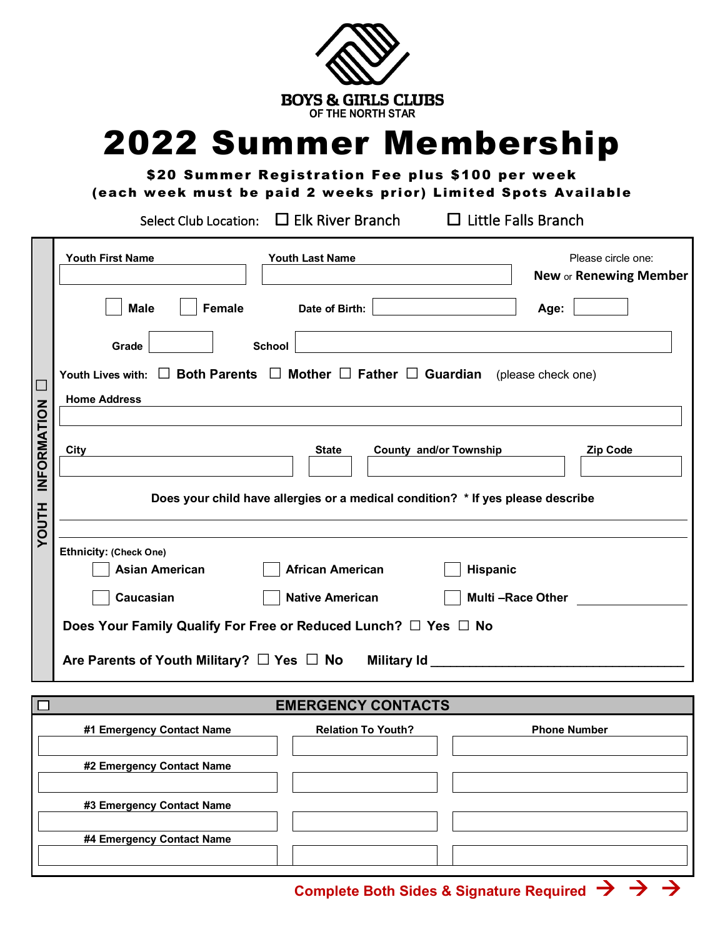

## 2022 Summer Membership

\$20 Summer Registration Fee plus \$100 per week (each week must be paid 2 weeks prior) Limited Spots Available

Select Club Location:  $\Box$  Elk River Branch  $\Box$  Little Falls Branch

 $\Box$ 

|                                                                                                                       | <b>Youth First Name</b><br><b>Youth Last Name</b><br>Please circle one:<br>New or Renewing Member                                                                      |  |  |  |  |
|-----------------------------------------------------------------------------------------------------------------------|------------------------------------------------------------------------------------------------------------------------------------------------------------------------|--|--|--|--|
|                                                                                                                       | <b>Female</b><br><b>Male</b><br>Date of Birth:<br>Age:                                                                                                                 |  |  |  |  |
|                                                                                                                       | <b>School</b><br>Grade                                                                                                                                                 |  |  |  |  |
|                                                                                                                       | Youth Lives with: $\Box$ Both Parents $\Box$ Mother $\Box$ Father $\Box$ Guardian (please check one)                                                                   |  |  |  |  |
|                                                                                                                       | <b>Home Address</b>                                                                                                                                                    |  |  |  |  |
| INFORMATION                                                                                                           | <b>County and/or Township</b><br><b>State</b><br><b>Zip Code</b><br>City                                                                                               |  |  |  |  |
| Does your child have allergies or a medical condition? * If yes please describe                                       |                                                                                                                                                                        |  |  |  |  |
| <b>HILOOX</b>                                                                                                         | <b>Ethnicity: (Check One)</b><br><b>Asian American</b><br><b>African American</b><br><b>Hispanic</b><br>Caucasian<br><b>Native American</b><br><b>Multi-Race Other</b> |  |  |  |  |
| Does Your Family Qualify For Free or Reduced Lunch? □ Yes □ No<br>Are Parents of Youth Military? $\Box$ Yes $\Box$ No |                                                                                                                                                                        |  |  |  |  |
|                                                                                                                       |                                                                                                                                                                        |  |  |  |  |

## **EMERGENCY CONTACTS**

| #1 Emergency Contact Name | <b>Relation To Youth?</b> | <b>Phone Number</b> |
|---------------------------|---------------------------|---------------------|
| #2 Emergency Contact Name |                           |                     |
|                           |                           |                     |
| #3 Emergency Contact Name |                           |                     |
| #4 Emergency Contact Name |                           |                     |
|                           |                           |                     |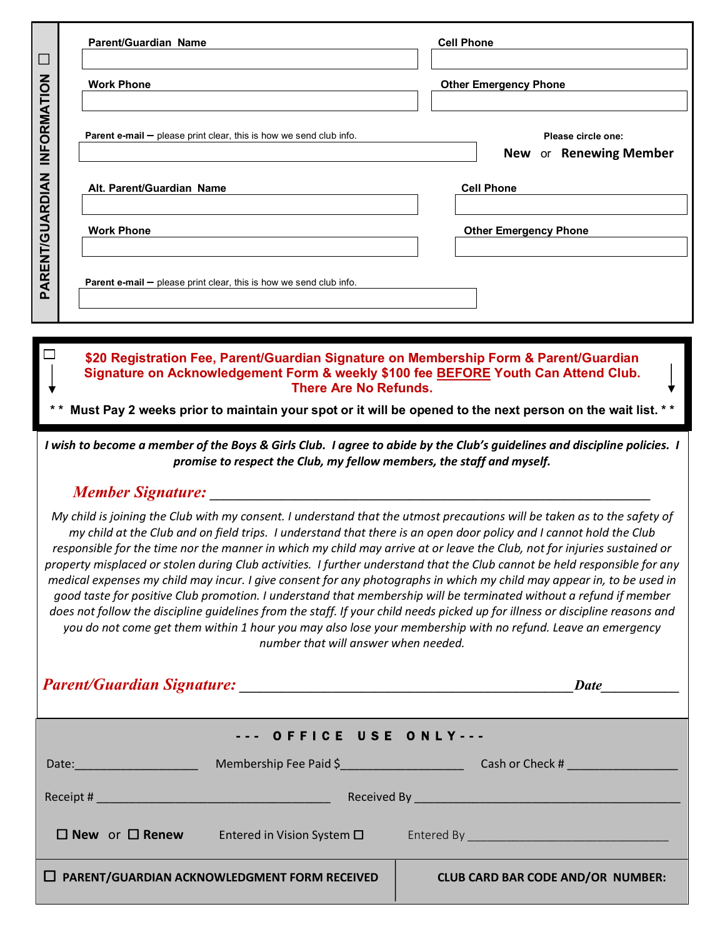| $\Box$                                                                                                                                                                                                                                                                                                                                                                                                                                                                                                                                                                                                                                                                                                                                                                                                                                                                                                                                                                                                                                           | <b>Parent/Guardian Name</b>                                                                                                                                                                                                                                                                                                        | <b>Cell Phone</b>                            |  |  |  |  |  |
|--------------------------------------------------------------------------------------------------------------------------------------------------------------------------------------------------------------------------------------------------------------------------------------------------------------------------------------------------------------------------------------------------------------------------------------------------------------------------------------------------------------------------------------------------------------------------------------------------------------------------------------------------------------------------------------------------------------------------------------------------------------------------------------------------------------------------------------------------------------------------------------------------------------------------------------------------------------------------------------------------------------------------------------------------|------------------------------------------------------------------------------------------------------------------------------------------------------------------------------------------------------------------------------------------------------------------------------------------------------------------------------------|----------------------------------------------|--|--|--|--|--|
|                                                                                                                                                                                                                                                                                                                                                                                                                                                                                                                                                                                                                                                                                                                                                                                                                                                                                                                                                                                                                                                  | Work Phone <u>_________________________________</u>                                                                                                                                                                                                                                                                                | <b>Other Emergency Phone</b>                 |  |  |  |  |  |
| INFORMATION                                                                                                                                                                                                                                                                                                                                                                                                                                                                                                                                                                                                                                                                                                                                                                                                                                                                                                                                                                                                                                      | <b>Parent e-mail <math>-</math></b> please print clear, this is how we send club info.                                                                                                                                                                                                                                             | Please circle one:<br>New or Renewing Member |  |  |  |  |  |
|                                                                                                                                                                                                                                                                                                                                                                                                                                                                                                                                                                                                                                                                                                                                                                                                                                                                                                                                                                                                                                                  | Alt. Parent/Guardian Name                                                                                                                                                                                                                                                                                                          | <b>Cell Phone</b>                            |  |  |  |  |  |
|                                                                                                                                                                                                                                                                                                                                                                                                                                                                                                                                                                                                                                                                                                                                                                                                                                                                                                                                                                                                                                                  | <b>Work Phone</b>                                                                                                                                                                                                                                                                                                                  | <b>Other Emergency Phone</b>                 |  |  |  |  |  |
| <b>PARENT/GUARDIAN</b>                                                                                                                                                                                                                                                                                                                                                                                                                                                                                                                                                                                                                                                                                                                                                                                                                                                                                                                                                                                                                           | <b>Parent e-mail <math>-</math></b> please print clear, this is how we send club info.                                                                                                                                                                                                                                             |                                              |  |  |  |  |  |
|                                                                                                                                                                                                                                                                                                                                                                                                                                                                                                                                                                                                                                                                                                                                                                                                                                                                                                                                                                                                                                                  |                                                                                                                                                                                                                                                                                                                                    |                                              |  |  |  |  |  |
|                                                                                                                                                                                                                                                                                                                                                                                                                                                                                                                                                                                                                                                                                                                                                                                                                                                                                                                                                                                                                                                  | $\Box$<br>\$20 Registration Fee, Parent/Guardian Signature on Membership Form & Parent/Guardian<br>Signature on Acknowledgement Form & weekly \$100 fee BEFORE Youth Can Attend Club.<br><b>There Are No Refunds.</b><br>Must Pay 2 weeks prior to maintain your spot or it will be opened to the next person on the wait list. ** |                                              |  |  |  |  |  |
|                                                                                                                                                                                                                                                                                                                                                                                                                                                                                                                                                                                                                                                                                                                                                                                                                                                                                                                                                                                                                                                  | I wish to become a member of the Boys & Girls Club. I agree to abide by the Club's guidelines and discipline policies. I<br>promise to respect the Club, my fellow members, the staff and myself.                                                                                                                                  |                                              |  |  |  |  |  |
|                                                                                                                                                                                                                                                                                                                                                                                                                                                                                                                                                                                                                                                                                                                                                                                                                                                                                                                                                                                                                                                  |                                                                                                                                                                                                                                                                                                                                    |                                              |  |  |  |  |  |
| My child is joining the Club with my consent. I understand that the utmost precautions will be taken as to the safety of<br>my child at the Club and on field trips. I understand that there is an open door policy and I cannot hold the Club<br>responsible for the time nor the manner in which my child may arrive at or leave the Club, not for injuries sustained or<br>property misplaced or stolen during Club activities. I further understand that the Club cannot be held responsible for any<br>medical expenses my child may incur. I give consent for any photographs in which my child may appear in, to be used in<br>good taste for positive Club promotion. I understand that membership will be terminated without a refund if member<br>does not follow the discipline guidelines from the staff. If your child needs picked up for illness or discipline reasons and<br>you do not come get them within 1 hour you may also lose your membership with no refund. Leave an emergency<br>number that will answer when needed. |                                                                                                                                                                                                                                                                                                                                    |                                              |  |  |  |  |  |
|                                                                                                                                                                                                                                                                                                                                                                                                                                                                                                                                                                                                                                                                                                                                                                                                                                                                                                                                                                                                                                                  |                                                                                                                                                                                                                                                                                                                                    | Date $\qquad \qquad$                         |  |  |  |  |  |
|                                                                                                                                                                                                                                                                                                                                                                                                                                                                                                                                                                                                                                                                                                                                                                                                                                                                                                                                                                                                                                                  | --- OFFICE USE ONLY---                                                                                                                                                                                                                                                                                                             |                                              |  |  |  |  |  |
|                                                                                                                                                                                                                                                                                                                                                                                                                                                                                                                                                                                                                                                                                                                                                                                                                                                                                                                                                                                                                                                  | Membership Fee Paid \$<br>Date: The Company of the Company of the Company of the Company of the Company of the Company of the Company of                                                                                                                                                                                           | Cash or Check #                              |  |  |  |  |  |
|                                                                                                                                                                                                                                                                                                                                                                                                                                                                                                                                                                                                                                                                                                                                                                                                                                                                                                                                                                                                                                                  |                                                                                                                                                                                                                                                                                                                                    |                                              |  |  |  |  |  |

| $\square$ New or $\square$ Renew<br>Entered in Vision System $\square$ | Entered By |
|------------------------------------------------------------------------|------------|
|------------------------------------------------------------------------|------------|

□ **PARENT/GUARDIAN ACKNOWLEDGMENT FORM RECEIVED CLUB CARD BAR CODE AND/OR NUMBER:**